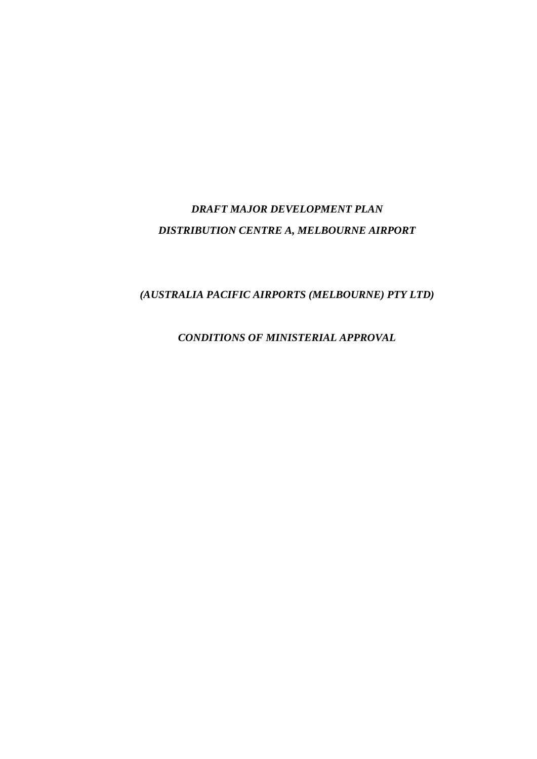# *DRAFT MAJOR DEVELOPMENT PLAN DISTRIBUTION CENTRE A, MELBOURNE AIRPORT*

# *(AUSTRALIA PACIFIC AIRPORTS (MELBOURNE) PTY LTD)*

*CONDITIONS OF MINISTERIAL APPROVAL*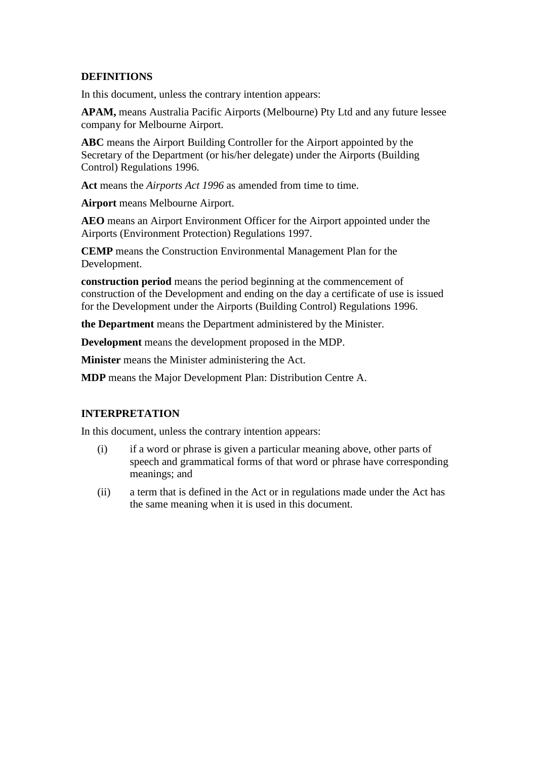## **DEFINITIONS**

In this document, unless the contrary intention appears:

**APAM,** means Australia Pacific Airports (Melbourne) Pty Ltd and any future lessee company for Melbourne Airport.

**ABC** means the Airport Building Controller for the Airport appointed by the Secretary of the Department (or his/her delegate) under the Airports (Building Control) Regulations 1996.

**Act** means the *Airports Act 1996* as amended from time to time.

**Airport** means Melbourne Airport.

**AEO** means an Airport Environment Officer for the Airport appointed under the Airports (Environment Protection) Regulations 1997.

**CEMP** means the Construction Environmental Management Plan for the Development.

**construction period** means the period beginning at the commencement of construction of the Development and ending on the day a certificate of use is issued for the Development under the Airports (Building Control) Regulations 1996.

**the Department** means the Department administered by the Minister.

**Development** means the development proposed in the MDP.

**Minister** means the Minister administering the Act.

**MDP** means the Major Development Plan: Distribution Centre A.

#### **INTERPRETATION**

In this document, unless the contrary intention appears:

- (i) if a word or phrase is given a particular meaning above, other parts of speech and grammatical forms of that word or phrase have corresponding meanings; and
- (ii) a term that is defined in the Act or in regulations made under the Act has the same meaning when it is used in this document.